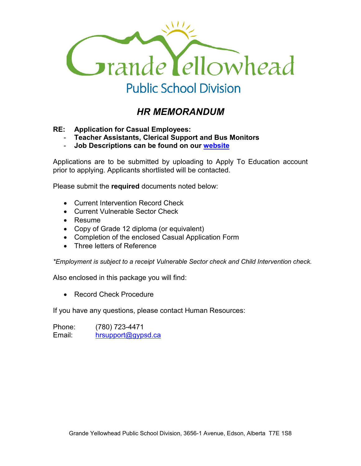

# *HR MEMORANDUM*

#### **RE: Application for Casual Employees:**

- **Teacher Assistants, Clerical Support and Bus Monitors**
- **Job Descriptions can be found on our website**

Applications are to be submitted by uploading to Apply To Education account prior to applying. Applicants shortlisted will be contacted.

Please submit the **required** documents noted below:

- Current Intervention Record Check
- Current Vulnerable Sector Check
- Resume
- Copy of Grade 12 diploma (or equivalent)
- Completion of the enclosed Casual Application Form
- Three letters of Reference

*\*Employment is subject to a receipt Vulnerable Sector check and Child Intervention check.*

Also enclosed in this package you will find:

• Record Check Procedure

If you have any questions, please contact Human Resources:

Phone: (780) 723-4471 Email: hrsupport@gypsd.ca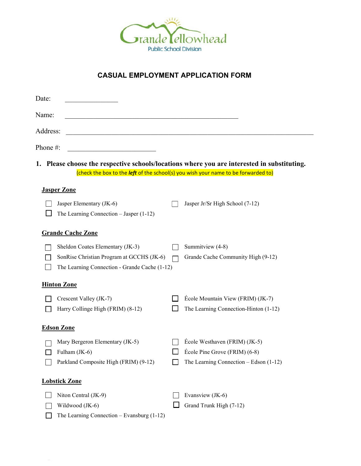

## **CASUAL EMPLOYMENT APPLICATION FORM**

| Date:    |                                                                                                                                |                                                                                                            |
|----------|--------------------------------------------------------------------------------------------------------------------------------|------------------------------------------------------------------------------------------------------------|
| Name:    |                                                                                                                                |                                                                                                            |
| Address: |                                                                                                                                |                                                                                                            |
| Phone #: | <u> 1989 - Johann Barbara, martin a</u>                                                                                        |                                                                                                            |
|          | (check the box to the left of the school(s) you wish your name to be forwarded to)                                             | 1. Please choose the respective schools/locations where you are interested in substituting.                |
|          | <b>Jasper Zone</b>                                                                                                             |                                                                                                            |
|          | Jasper Elementary (JK-6)<br>The Learning Connection $-$ Jasper (1-12)                                                          | Jasper Jr/Sr High School (7-12)                                                                            |
|          | <b>Grande Cache Zone</b>                                                                                                       |                                                                                                            |
|          | Sheldon Coates Elementary (JK-3)<br>SonRise Christian Program at GCCHS (JK-6)<br>The Learning Connection - Grande Cache (1-12) | Summitview (4-8)<br>Grande Cache Community High (9-12)                                                     |
|          | <b>Hinton Zone</b>                                                                                                             |                                                                                                            |
|          | Crescent Valley (JK-7)<br>Harry Collinge High (FRIM) (8-12)                                                                    | École Mountain View (FRIM) (JK-7)<br>The Learning Connection-Hinton (1-12)                                 |
|          | <b>Edson Zone</b>                                                                                                              |                                                                                                            |
|          | Mary Bergeron Elementary (JK-5)<br>Fulham (JK-6)<br>Parkland Composite High (FRIM) (9-12)                                      | École Westhaven (FRIM) (JK-5)<br>École Pine Grove (FRIM) (6-8)<br>The Learning Connection $-$ Edson (1-12) |
|          | <b>Lobstick Zone</b>                                                                                                           |                                                                                                            |
|          | Niton Central (JK-9)<br>Wildwood (JK-6)<br>The Learning Connection $-$ Evansburg (1-12)                                        | Evansview (JK-6)<br>Grand Trunk High (7-12)                                                                |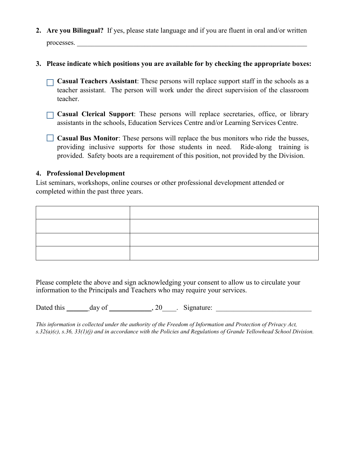**2. Are you Bilingual?** If yes, please state language and if you are fluent in oral and/or written processes.

- **3. Please indicate which positions you are available for by checking the appropriate boxes:**
	- **Casual Teachers Assistant**: These persons will replace support staff in the schools as a teacher assistant. The person will work under the direct supervision of the classroom teacher.
	- **Casual Clerical Support**: These persons will replace secretaries, office, or library assistants in the schools, Education Services Centre and/or Learning Services Centre.
	- **Casual Bus Monitor**: These persons will replace the bus monitors who ride the busses, providing inclusive supports for those students in need. Ride-along training is provided. Safety boots are a requirement of this position, not provided by the Division.

#### **4. Professional Development**

List seminars, workshops, online courses or other professional development attended or completed within the past three years.

Please complete the above and sign acknowledging your consent to allow us to circulate your information to the Principals and Teachers who may require your services.

Dated this day of  $\qquad \qquad , 20$  . Signature:

*This information is collected under the authority of the Freedom of Information and Protection of Privacy Act, s.32(a)(c), s.36, 33(1)(j) and in accordance with the Policies and Regulations of Grande Yellowhead School Division.*